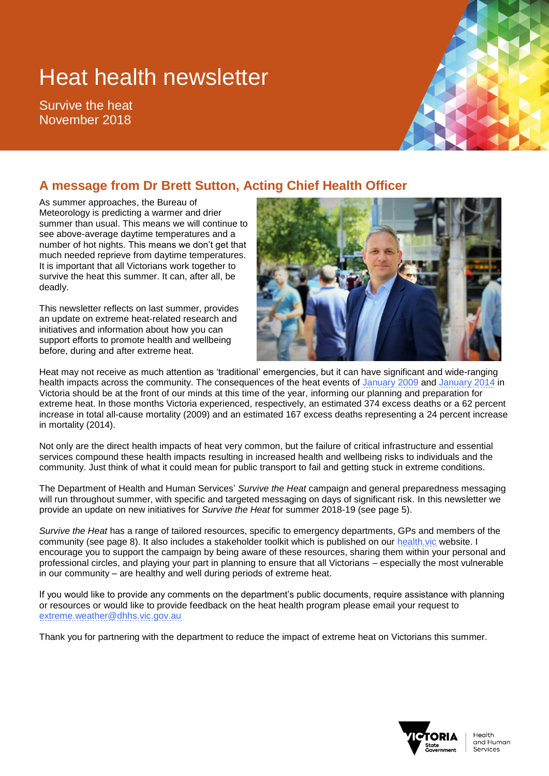# Heat health newsletter

Survive the heat November 2018



As summer approaches, the Bureau of Meteorology is predicting a warmer and drier summer than usual. This means we will continue to see above-average daytime temperatures and a number of hot nights. This means we don't get that much needed reprieve from daytime temperatures. It is important that all Victorians work together to survive the heat this summer. It can, after all, be deadly.

This newsletter reflects on last summer, provides an update on extreme heat-related research and initiatives and information about how you can support efforts to promote health and wellbeing before, during and after extreme heat.



Heat may not receive as much attention as 'traditional' emergencies, but it can have significant and wide-ranging health impacts across the community. The consequences of the heat events of [January 2009](https://www2.health.vic.gov.au/about/key-staff/chief-health-officer/cho-publications/heatwave-in-victoria) and [January 2014](https://www2.health.vic.gov.au/about/publications/researchandreports/health-impacts-january-2014-heatwave) in Victoria should be at the front of our minds at this time of the year, informing our planning and preparation for extreme heat. In those months Victoria experienced, respectively, an estimated 374 excess deaths or a 62 percent increase in total all-cause mortality (2009) and an estimated 167 excess deaths representing a 24 percent increase in mortality (2014).

Not only are the direct health impacts of heat very common, but the failure of critical infrastructure and essential services compound these health impacts resulting in increased health and wellbeing risks to individuals and the community. Just think of what it could mean for public transport to fail and getting stuck in extreme conditions.

The Department of Health and Human Services' *Survive the Heat* campaign and general preparedness messaging will run throughout summer, with specific and targeted messaging on days of significant risk. In this newsletter we provide an update on new initiatives for *Survive the Heat* for summer 2018-19 (see page 5).

*Survive the Heat* has a range of tailored resources, specific to emergency departments, GPs and members of the community (see page 8). It also includes a stakeholder toolkit which is published on our [health.vic](https://www2.health.vic.gov.au/) website. I encourage you to support the campaign by being aware of these resources, sharing them within your personal and professional circles, and playing your part in planning to ensure that all Victorians – especially the most vulnerable in our community – are healthy and well during periods of extreme heat.

If you would like to provide any comments on the department's public documents, require assistance with planning or resources or would like to provide feedback on the heat health program please email your request to [extreme.weather@dhhs.vic.gov.au](mailto:extreme.weather@dhhs.vic.gov.au)

Thank you for partnering with the department to reduce the impact of extreme heat on Victorians this summer.

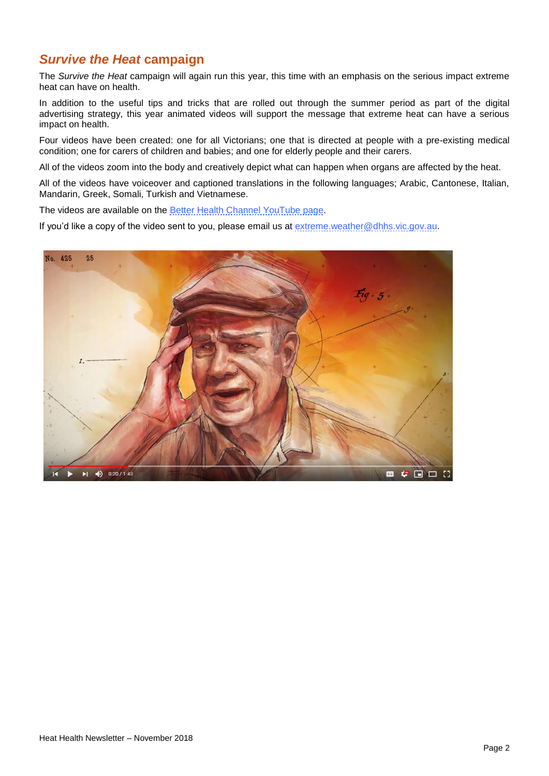#### *Survive the Heat* **campaign**

The *Survive the Heat* campaign will again run this year, this time with an emphasis on the serious impact extreme heat can have on health.

In addition to the useful tips and tricks that are rolled out through the summer period as part of the digital advertising strategy, this year animated videos will support the message that extreme heat can have a serious impact on health.

Four videos have been created: one for all Victorians; one that is directed at people with a pre-existing medical condition; one for carers of children and babies; and one for elderly people and their carers.

All of the videos zoom into the body and creatively depict what can happen when organs are affected by the heat.

All of the videos have voiceover and captioned translations in the following languages; Arabic, Cantonese, Italian, Mandarin, Greek, Somali, Turkish and Vietnamese.

The videos are available on the **Better Health Channel YouTube page**.

If you'd like a copy of the video sent to you, please email us at [extreme.weather@dhhs.vic.gov.au.](mailto:extreme.weather@dhhs.vic.gov.au)

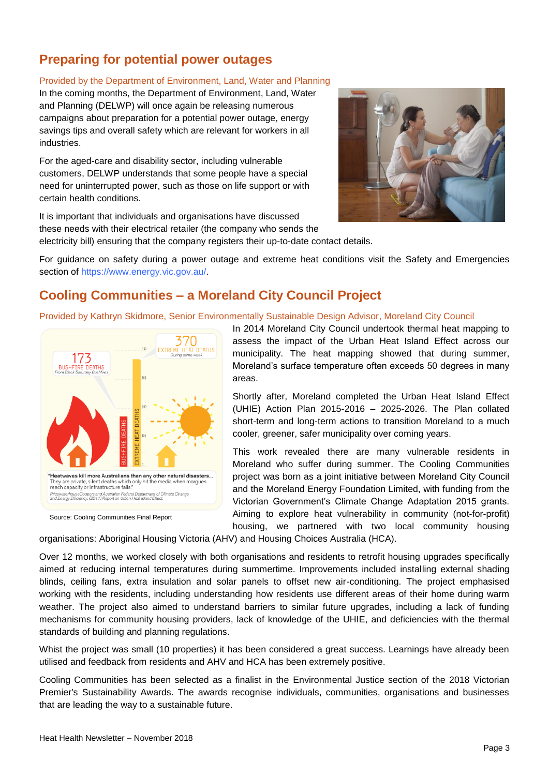## **Preparing for potential power outages**

#### Provided by the Department of Environment, Land, Water and Planning

In the coming months, the Department of Environment, Land, Water and Planning (DELWP) will once again be releasing numerous campaigns about preparation for a potential power outage, energy savings tips and overall safety which are relevant for workers in all industries.

For the aged-care and disability sector, including vulnerable customers, DELWP understands that some people have a special need for uninterrupted power, such as those on life support or with certain health conditions.

It is important that individuals and organisations have discussed these needs with their electrical retailer (the company who sends the electricity bill) ensuring that the company registers their up-to-date contact details.



For guidance on safety during a power outage and extreme heat conditions visit the Safety and Emergencies section of [https://www.energy.vic.gov.au/.](https://www.energy.vic.gov.au/)

## **Cooling Communities – a Moreland City Council Project**

Provided by Kathryn Skidmore, Senior Environmentally Sustainable Design Advisor, Moreland City Council



Source: Cooling Communities Final Report

In 2014 Moreland City Council undertook thermal heat mapping to assess the impact of the Urban Heat Island Effect across our municipality. The heat mapping showed that during summer, Moreland's surface temperature often exceeds 50 degrees in many areas.

Shortly after, Moreland completed the Urban Heat Island Effect (UHIE) Action Plan 2015-2016 – 2025-2026. The Plan collated short-term and long-term actions to transition Moreland to a much cooler, greener, safer municipality over coming years.

This work revealed there are many vulnerable residents in Moreland who suffer during summer. The Cooling Communities project was born as a joint initiative between Moreland City Council and the Moreland Energy Foundation Limited, with funding from the Victorian Government's Climate Change Adaptation 2015 grants. Aiming to explore heat vulnerability in community (not-for-profit) housing, we partnered with two local community housing

organisations: Aboriginal Housing Victoria (AHV) and Housing Choices Australia (HCA).

Over 12 months, we worked closely with both organisations and residents to retrofit housing upgrades specifically aimed at reducing internal temperatures during summertime. Improvements included installing external shading blinds, ceiling fans, extra insulation and solar panels to offset new air-conditioning. The project emphasised working with the residents, including understanding how residents use different areas of their home during warm weather. The project also aimed to understand barriers to similar future upgrades, including a lack of funding mechanisms for community housing providers, lack of knowledge of the UHIE, and deficiencies with the thermal standards of building and planning regulations.

Whist the project was small (10 properties) it has been considered a great success. Learnings have already been utilised and feedback from residents and AHV and HCA has been extremely positive.

Cooling Communities has been selected as a finalist in the Environmental Justice section of the 2018 Victorian Premier's Sustainability Awards. The awards recognise individuals, communities, organisations and businesses that are leading the way to a sustainable future.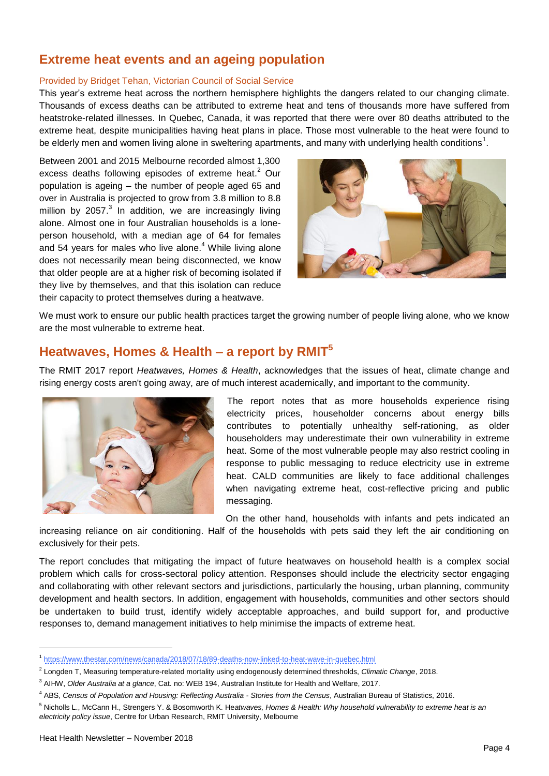### **Extreme heat events and an ageing population**

#### Provided by Bridget Tehan, Victorian Council of Social Service

This year's extreme heat across the northern hemisphere highlights the dangers related to our changing climate. Thousands of excess deaths can be attributed to extreme heat and tens of thousands more have suffered from heatstroke-related illnesses. In Quebec, Canada, it was reported that there were over 80 deaths attributed to the extreme heat, despite municipalities having heat plans in place. Those most vulnerable to the heat were found to be elderly men and women living alone in sweltering apartments, and many with underlying health conditions<sup>1</sup>.

Between 2001 and 2015 Melbourne recorded almost 1,300 excess deaths following episodes of extreme heat.<sup>2</sup> Our population is ageing – the number of people aged 65 and over in Australia is projected to grow from 3.8 million to 8.8 million by 2057.<sup>3</sup> In addition, we are increasingly living alone. Almost one in four Australian households is a loneperson household, with a median age of 64 for females and 54 years for males who live alone. <sup>4</sup> While living alone does not necessarily mean being disconnected, we know that older people are at a higher risk of becoming isolated if they live by themselves, and that this isolation can reduce their capacity to protect themselves during a heatwave.



We must work to ensure our public health practices target the growing number of people living alone, who we know are the most vulnerable to extreme heat.

## **Heatwaves, Homes & Health – a report by RMIT<sup>5</sup>**

The RMIT 2017 report *Heatwaves, Homes & Health*, acknowledges that the issues of heat, climate change and rising energy costs aren't going away, are of much interest academically, and important to the community.



The report notes that as more households experience rising electricity prices, householder concerns about energy bills contributes to potentially unhealthy self-rationing, as older householders may underestimate their own vulnerability in extreme heat. Some of the most vulnerable people may also restrict cooling in response to public messaging to reduce electricity use in extreme heat. CALD communities are likely to face additional challenges when navigating extreme heat, cost-reflective pricing and public messaging.

On the other hand, households with infants and pets indicated an

increasing reliance on air conditioning. Half of the households with pets said they left the air conditioning on exclusively for their pets.

The report concludes that mitigating the impact of future heatwaves on household health is a complex social problem which calls for cross-sectoral policy attention. Responses should include the electricity sector engaging and collaborating with other relevant sectors and jurisdictions, particularly the housing, urban planning, community development and health sectors. In addition, engagement with households, communities and other sectors should be undertaken to build trust, identify widely acceptable approaches, and build support for, and productive responses to, demand management initiatives to help minimise the impacts of extreme heat.

 $\overline{\phantom{a}}$ 

<sup>1</sup> [https://www.thestar.com/news/canada/2018/07/18/89-deaths-now-linked-to-heat-wave-in-quebec.html](https://urldefense.proofpoint.com/v2/url?u=https-3A__www.thestar.com_news_canada_2018_07_18_89-2Ddeaths-2Dnow-2Dlinked-2Dto-2Dheat-2Dwave-2Din-2Dquebec.html&d=DwMFAg&c=JnBkUqWXzx2bz-3a05d47Q&r=yCNvmzqiRiuhbWEOxSsoY3uCnR0poEUSsopwkYLgUg4&m=P9Z7cAMMAO4vekd6jGexpmDIovbiW-vSMCZoqD1L5VI&s=X0XowTfuZM-UZuzjWFovDCM4i5LklV92Q3ovvmFNa-Y&e=)

<sup>2</sup> Longden T, Measuring temperature-related mortality using endogenously determined thresholds, *Climatic Change*, 2018.

<sup>3</sup> AIHW, *Older Australia at a glance*, Cat. no: WEB 194, Australian Institute for Health and Welfare, 2017.

<sup>4</sup> ABS, *Census of Population and Housing: Reflecting Australia - Stories from the Census*, Australian Bureau of Statistics, 2016.

<sup>5</sup> Nicholls L., McCann H., Strengers Y. & Bosomworth K. He*atwaves, Homes & Health: Why household vulnerability to extreme heat is an electricity policy issue*, Centre for Urban Research, RMIT University, Melbourne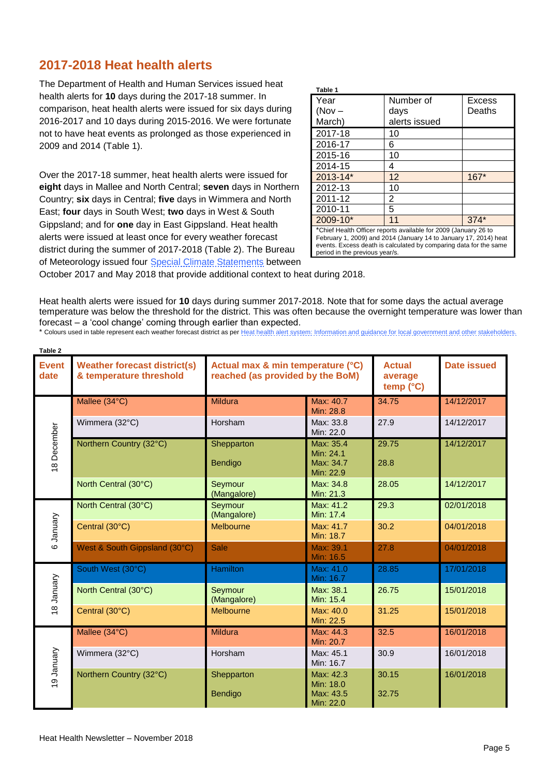#### **2017-2018 Heat health alerts**

The Department of Health and Human Services issued heat health alerts for **10** days during the 2017-18 summer. In comparison, heat health alerts were issued for six days during 2016-2017 and 10 days during 2015-2016. We were fortunate not to have heat events as prolonged as those experienced in 2009 and 2014 (Table 1).

Over the 2017-18 summer, heat health alerts were issued for **eight** days in Mallee and North Central; **seven** days in Northern Country; **six** days in Central; **five** days in Wimmera and North East; **four** days in South West; **two** days in West & South Gippsland; and for **one** day in East Gippsland. Heat health alerts were issued at least once for every weather forecast district during the summer of 2017-2018 (Table 2). The Bureau of Meteorology issued four [Special Climate Statements](http://www.bom.gov.au/climate/current/special-statements.shtml) between

| Table 1                                                                                                                                                                                                                                    |               |        |  |
|--------------------------------------------------------------------------------------------------------------------------------------------------------------------------------------------------------------------------------------------|---------------|--------|--|
| Year                                                                                                                                                                                                                                       | Number of     | Excess |  |
| $(Nov -$                                                                                                                                                                                                                                   | days          | Deaths |  |
| March)                                                                                                                                                                                                                                     | alerts issued |        |  |
| 2017-18                                                                                                                                                                                                                                    | 10            |        |  |
| 2016-17                                                                                                                                                                                                                                    | 6             |        |  |
| 2015-16                                                                                                                                                                                                                                    | 10            |        |  |
| 2014-15                                                                                                                                                                                                                                    | 4             |        |  |
| $2013 - 14*$                                                                                                                                                                                                                               | 12            | $167*$ |  |
| 2012-13                                                                                                                                                                                                                                    | 10            |        |  |
| 2011-12                                                                                                                                                                                                                                    | 2             |        |  |
| 2010-11                                                                                                                                                                                                                                    | 5             |        |  |
| $2009 - 10*$                                                                                                                                                                                                                               | 11            | $374*$ |  |
| *Chief Health Officer reports available for 2009 (January 26 to<br>February 1, 2009) and 2014 (January 14 to January 17, 2014) heat<br>events. Excess death is calculated by comparing data for the same<br>period in the previous year/s. |               |        |  |

October 2017 and May 2018 that provide additional context to heat during 2018.

Heat health alerts were issued for **10** days during summer 2017-2018. Note that for some days the actual average temperature was below the threshold for the district. This was often because the overnight temperature was lower than forecast – a 'cool change' coming through earlier than expected.

|  |  | * Colours used in table represent each weather forecast district as per Heat health alert system: Information and quidance for local government and other stakeholders. |
|--|--|-------------------------------------------------------------------------------------------------------------------------------------------------------------------------|

| Table 2              |                                                                |                                                                       |                                                  |                                                |                    |
|----------------------|----------------------------------------------------------------|-----------------------------------------------------------------------|--------------------------------------------------|------------------------------------------------|--------------------|
| <b>Event</b><br>date | <b>Weather forecast district(s)</b><br>& temperature threshold | Actual max & min temperature (°C)<br>reached (as provided by the BoM) |                                                  | <b>Actual</b><br>average<br>temp $(^{\circ}C)$ | <b>Date issued</b> |
| 18 December          | Mallee (34°C)                                                  | <b>Mildura</b>                                                        | Max: 40.7<br>Min: 28.8                           | 34.75                                          | 14/12/2017         |
|                      | Wimmera (32°C)                                                 | Horsham                                                               | Max: 33.8<br>Min: 22.0                           | 27.9                                           | 14/12/2017         |
|                      | Northern Country (32°C)                                        | Shepparton<br><b>Bendigo</b>                                          | Max: 35.4<br>Min: 24.1<br>Max: 34.7<br>Min: 22.9 | 29.75<br>28.8                                  | 14/12/2017         |
|                      | North Central (30°C)                                           | Seymour<br>(Mangalore)                                                | Max: 34.8<br>Min: 21.3                           | 28.05                                          | 14/12/2017         |
| 6 January            | North Central (30°C)                                           | Seymour<br>(Mangalore)                                                | Max: 41.2<br>Min: 17.4                           | 29.3                                           | 02/01/2018         |
|                      | Central (30°C)                                                 | Melbourne                                                             | Max: 41.7<br>Min: 18.7                           | 30.2                                           | 04/01/2018         |
|                      | West & South Gippsland (30°C)                                  | <b>Sale</b>                                                           | Max: 39.1<br>Min: 16.5                           | 27.8                                           | 04/01/2018         |
| 18 January           | South West (30°C)                                              | <b>Hamilton</b>                                                       | Max: 41.0<br>Min: 16.7                           | 28.85                                          | 17/01/2018         |
|                      | North Central (30°C)                                           | Seymour<br>(Mangalore)                                                | Max: 38.1<br>Min: 15.4                           | 26.75                                          | 15/01/2018         |
|                      | Central (30°C)                                                 | Melbourne                                                             | Max: 40.0<br>Min: 22.5                           | 31.25                                          | 15/01/2018         |
| 19 January           | Mallee (34°C)                                                  | <b>Mildura</b>                                                        | Max: 44.3<br>Min: 20.7                           | 32.5                                           | 16/01/2018         |
|                      | Wimmera (32°C)                                                 | Horsham                                                               | Max: 45.1<br>Min: 16.7                           | 30.9                                           | 16/01/2018         |
|                      | Northern Country (32°C)                                        | Shepparton<br>Bendigo                                                 | Max: 42.3<br>Min: 18.0<br>Max: 43.5<br>Min: 22.0 | 30.15<br>32.75                                 | 16/01/2018         |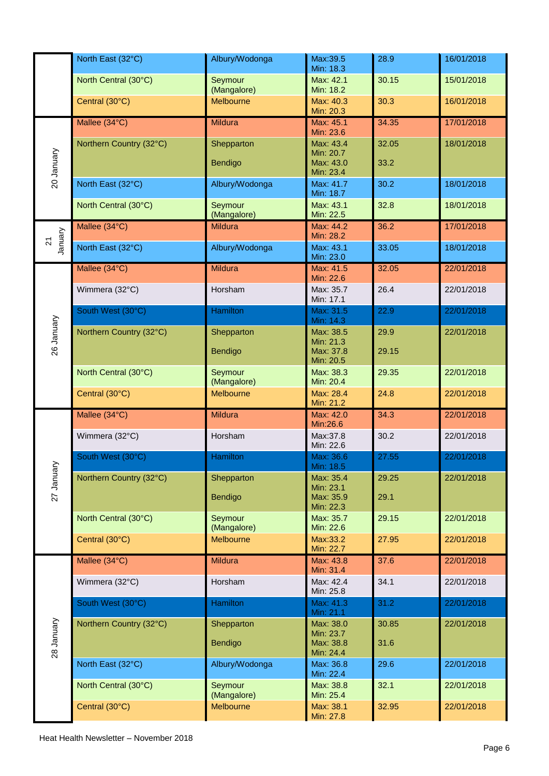|                          | North East (32°C)       | Albury/Wodonga         | Max:39.5<br>Min: 18.3  | 28.9  | 16/01/2018 |
|--------------------------|-------------------------|------------------------|------------------------|-------|------------|
|                          | North Central (30°C)    | Seymour<br>(Mangalore) | Max: 42.1<br>Min: 18.2 | 30.15 | 15/01/2018 |
|                          | Central (30°C)          | Melbourne              | Max: 40.3<br>Min: 20.3 | 30.3  | 16/01/2018 |
|                          | Mallee (34°C)           | <b>Mildura</b>         | Max: 45.1<br>Min: 23.6 | 34.35 | 17/01/2018 |
|                          | Northern Country (32°C) | Shepparton             | Max: 43.4<br>Min: 20.7 | 32.05 | 18/01/2018 |
| 20 January               |                         | Bendigo                | Max: 43.0<br>Min: 23.4 | 33.2  |            |
|                          | North East (32°C)       | Albury/Wodonga         | Max: 41.7<br>Min: 18.7 | 30.2  | 18/01/2018 |
|                          | North Central (30°C)    | Seymour<br>(Mangalore) | Max: 43.1<br>Min: 22.5 | 32.8  | 18/01/2018 |
| January                  | Mallee (34°C)           | <b>Mildura</b>         | Max: 44.2<br>Min: 28.2 | 36.2  | 17/01/2018 |
| $\overline{\mathcal{S}}$ | North East (32°C)       | Albury/Wodonga         | Max: 43.1<br>Min: 23.0 | 33.05 | 18/01/2018 |
|                          | Mallee (34°C)           | Mildura                | Max: 41.5<br>Min: 22.6 | 32.05 | 22/01/2018 |
|                          | Wimmera (32°C)          | Horsham                | Max: 35.7<br>Min: 17.1 | 26.4  | 22/01/2018 |
|                          | South West (30°C)       | <b>Hamilton</b>        | Max: 31.5<br>Min: 14.3 | 22.9  | 22/01/2018 |
| 26 January               | Northern Country (32°C) | Shepparton             | Max: 38.5<br>Min: 21.3 | 29.9  | 22/01/2018 |
|                          |                         | Bendigo                | Max: 37.8<br>Min: 20.5 | 29.15 |            |
|                          | North Central (30°C)    | Seymour<br>(Mangalore) | Max: 38.3<br>Min: 20.4 | 29.35 | 22/01/2018 |
|                          | Central (30°C)          | Melbourne              | Max: 28.4<br>Min: 21.2 | 24.8  | 22/01/2018 |
|                          | Mallee (34°C)           | Mildura                | Max: 42.0<br>Min:26.6  | 34.3  | 22/01/2018 |
|                          | Wimmera (32°C)          | Horsham                | Max:37.8<br>Min: 22.6  | 30.2  | 22/01/2018 |
| ≻                        | South West (30°C)       | <b>Hamilton</b>        | Max: 36.6<br>Min: 18.5 | 27.55 | 22/01/2018 |
| 27 Januar                | Northern Country (32°C) | Shepparton             | Max: 35.4<br>Min: 23.1 | 29.25 | 22/01/2018 |
|                          |                         | Bendigo                | Max: 35.9<br>Min: 22.3 | 29.1  |            |
|                          | North Central (30°C)    | Seymour<br>(Mangalore) | Max: 35.7<br>Min: 22.6 | 29.15 | 22/01/2018 |
|                          | Central (30°C)          | Melbourne              | Max:33.2<br>Min: 22.7  | 27.95 | 22/01/2018 |
|                          | Mallee (34°C)           | <b>Mildura</b>         | Max: 43.8<br>Min: 31.4 | 37.6  | 22/01/2018 |
|                          | Wimmera (32°C)          | Horsham                | Max: 42.4<br>Min: 25.8 | 34.1  | 22/01/2018 |
|                          | South West (30°C)       | <b>Hamilton</b>        | Max: 41.3<br>Min: 21.1 | 31.2  | 22/01/2018 |
| 28 January               | Northern Country (32°C) | Shepparton             | Max: 38.0<br>Min: 23.7 | 30.85 | 22/01/2018 |
|                          |                         | Bendigo                | Max: 38.8<br>Min: 24.4 | 31.6  |            |
|                          | North East (32°C)       | Albury/Wodonga         | Max: 36.8<br>Min: 22.4 | 29.6  | 22/01/2018 |
|                          | North Central (30°C)    | Seymour<br>(Mangalore) | Max: 38.8<br>Min: 25.4 | 32.1  | 22/01/2018 |
|                          | Central (30°C)          | Melbourne              | Max: 38.1<br>Min: 27.8 | 32.95 | 22/01/2018 |